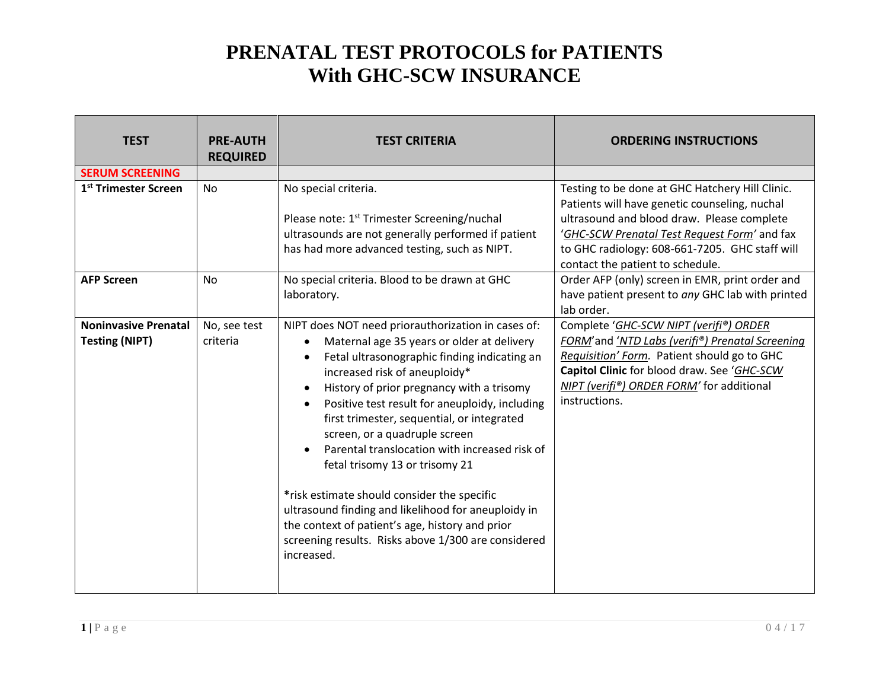| <b>TEST</b>                                          | <b>PRE-AUTH</b><br><b>REQUIRED</b> | <b>TEST CRITERIA</b>                                                                                                                                                                                                                                                                                                                                                                                                                                                                                                                                                                                                                                                                                                                 | <b>ORDERING INSTRUCTIONS</b>                                                                                                                                                                                                                                                         |
|------------------------------------------------------|------------------------------------|--------------------------------------------------------------------------------------------------------------------------------------------------------------------------------------------------------------------------------------------------------------------------------------------------------------------------------------------------------------------------------------------------------------------------------------------------------------------------------------------------------------------------------------------------------------------------------------------------------------------------------------------------------------------------------------------------------------------------------------|--------------------------------------------------------------------------------------------------------------------------------------------------------------------------------------------------------------------------------------------------------------------------------------|
| <b>SERUM SCREENING</b>                               |                                    |                                                                                                                                                                                                                                                                                                                                                                                                                                                                                                                                                                                                                                                                                                                                      |                                                                                                                                                                                                                                                                                      |
| 1 <sup>st</sup> Trimester Screen                     | <b>No</b>                          | No special criteria.<br>Please note: 1 <sup>st</sup> Trimester Screening/nuchal<br>ultrasounds are not generally performed if patient<br>has had more advanced testing, such as NIPT.                                                                                                                                                                                                                                                                                                                                                                                                                                                                                                                                                | Testing to be done at GHC Hatchery Hill Clinic.<br>Patients will have genetic counseling, nuchal<br>ultrasound and blood draw. Please complete<br>'GHC-SCW Prenatal Test Request Form' and fax<br>to GHC radiology: 608-661-7205. GHC staff will<br>contact the patient to schedule. |
| <b>AFP Screen</b>                                    | <b>No</b>                          | No special criteria. Blood to be drawn at GHC<br>laboratory.                                                                                                                                                                                                                                                                                                                                                                                                                                                                                                                                                                                                                                                                         | Order AFP (only) screen in EMR, print order and<br>have patient present to any GHC lab with printed<br>lab order.                                                                                                                                                                    |
| <b>Noninvasive Prenatal</b><br><b>Testing (NIPT)</b> | No, see test<br>criteria           | NIPT does NOT need priorauthorization in cases of:<br>Maternal age 35 years or older at delivery<br>$\bullet$<br>Fetal ultrasonographic finding indicating an<br>$\bullet$<br>increased risk of aneuploidy*<br>History of prior pregnancy with a trisomy<br>$\bullet$<br>Positive test result for aneuploidy, including<br>first trimester, sequential, or integrated<br>screen, or a quadruple screen<br>Parental translocation with increased risk of<br>$\bullet$<br>fetal trisomy 13 or trisomy 21<br>*risk estimate should consider the specific<br>ultrasound finding and likelihood for aneuploidy in<br>the context of patient's age, history and prior<br>screening results. Risks above 1/300 are considered<br>increased. | Complete 'GHC-SCW NIPT (verifi®) ORDER<br>FORM'and 'NTD Labs (verifi®) Prenatal Screening<br>Requisition' Form. Patient should go to GHC<br>Capitol Clinic for blood draw. See 'GHC-SCW<br>NIPT (verifi®) ORDER FORM' for additional<br>instructions.                                |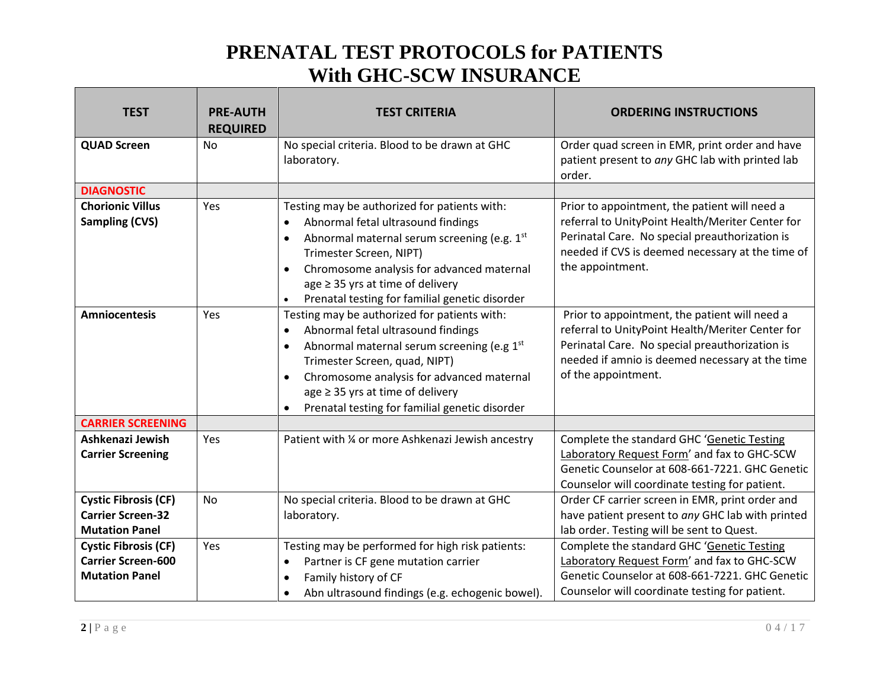| <b>TEST</b>                                                                       | <b>PRE-AUTH</b><br><b>REQUIRED</b> | <b>TEST CRITERIA</b>                                                                                                                                                                                                                                                                                                                                          | <b>ORDERING INSTRUCTIONS</b>                                                                                                                                                                                                  |
|-----------------------------------------------------------------------------------|------------------------------------|---------------------------------------------------------------------------------------------------------------------------------------------------------------------------------------------------------------------------------------------------------------------------------------------------------------------------------------------------------------|-------------------------------------------------------------------------------------------------------------------------------------------------------------------------------------------------------------------------------|
| <b>QUAD Screen</b>                                                                | <b>No</b>                          | No special criteria. Blood to be drawn at GHC<br>laboratory.                                                                                                                                                                                                                                                                                                  | Order quad screen in EMR, print order and have<br>patient present to any GHC lab with printed lab<br>order.                                                                                                                   |
| <b>DIAGNOSTIC</b>                                                                 |                                    |                                                                                                                                                                                                                                                                                                                                                               |                                                                                                                                                                                                                               |
| <b>Chorionic Villus</b><br><b>Sampling (CVS)</b>                                  | Yes                                | Testing may be authorized for patients with:<br>Abnormal fetal ultrasound findings<br>$\bullet$<br>Abnormal maternal serum screening (e.g. 1st<br>$\bullet$<br>Trimester Screen, NIPT)<br>Chromosome analysis for advanced maternal<br>$\bullet$<br>age $\geq$ 35 yrs at time of delivery<br>Prenatal testing for familial genetic disorder<br>$\bullet$      | Prior to appointment, the patient will need a<br>referral to UnityPoint Health/Meriter Center for<br>Perinatal Care. No special preauthorization is<br>needed if CVS is deemed necessary at the time of<br>the appointment.   |
| <b>Amniocentesis</b>                                                              | Yes                                | Testing may be authorized for patients with:<br>Abnormal fetal ultrasound findings<br>$\bullet$<br>Abnormal maternal serum screening (e.g 1st<br>$\bullet$<br>Trimester Screen, quad, NIPT)<br>Chromosome analysis for advanced maternal<br>$\bullet$<br>$age \geq 35$ yrs at time of delivery<br>Prenatal testing for familial genetic disorder<br>$\bullet$ | Prior to appointment, the patient will need a<br>referral to UnityPoint Health/Meriter Center for<br>Perinatal Care. No special preauthorization is<br>needed if amnio is deemed necessary at the time<br>of the appointment. |
| <b>CARRIER SCREENING</b>                                                          |                                    |                                                                                                                                                                                                                                                                                                                                                               |                                                                                                                                                                                                                               |
| Ashkenazi Jewish<br><b>Carrier Screening</b>                                      | Yes                                | Patient with 1/4 or more Ashkenazi Jewish ancestry                                                                                                                                                                                                                                                                                                            | Complete the standard GHC 'Genetic Testing<br>Laboratory Request Form' and fax to GHC-SCW<br>Genetic Counselor at 608-661-7221. GHC Genetic<br>Counselor will coordinate testing for patient.                                 |
| <b>Cystic Fibrosis (CF)</b><br><b>Carrier Screen-32</b><br><b>Mutation Panel</b>  | <b>No</b>                          | No special criteria. Blood to be drawn at GHC<br>laboratory.                                                                                                                                                                                                                                                                                                  | Order CF carrier screen in EMR, print order and<br>have patient present to any GHC lab with printed<br>lab order. Testing will be sent to Quest.                                                                              |
| <b>Cystic Fibrosis (CF)</b><br><b>Carrier Screen-600</b><br><b>Mutation Panel</b> | Yes                                | Testing may be performed for high risk patients:<br>Partner is CF gene mutation carrier<br>$\bullet$<br>Family history of CF<br>$\bullet$<br>Abn ultrasound findings (e.g. echogenic bowel).                                                                                                                                                                  | Complete the standard GHC 'Genetic Testing<br>Laboratory Request Form' and fax to GHC-SCW<br>Genetic Counselor at 608-661-7221. GHC Genetic<br>Counselor will coordinate testing for patient.                                 |
|                                                                                   |                                    | $\bullet$                                                                                                                                                                                                                                                                                                                                                     |                                                                                                                                                                                                                               |

г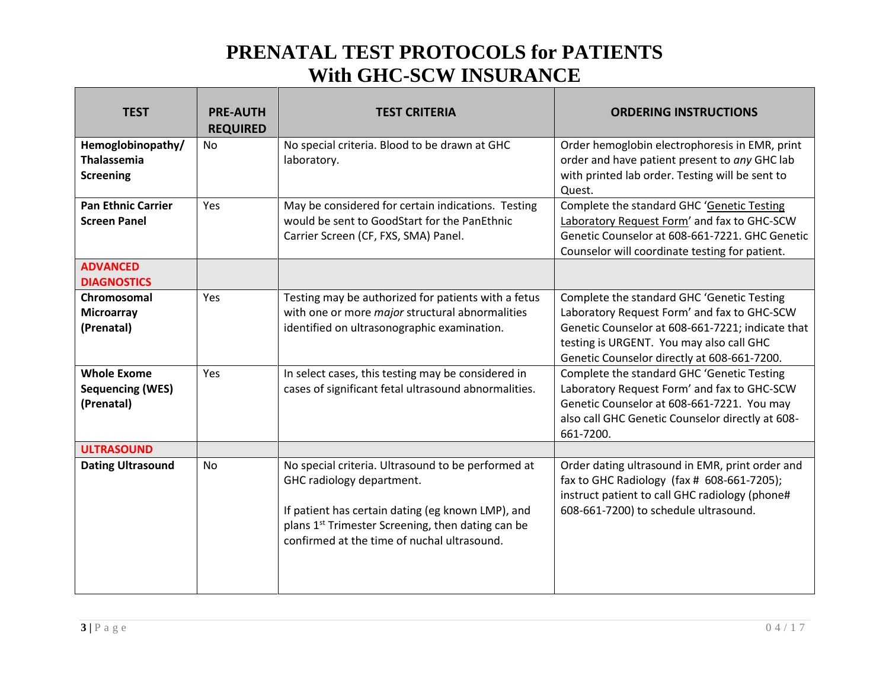| <b>TEST</b>                                                         | <b>PRE-AUTH</b><br><b>REQUIRED</b> | <b>TEST CRITERIA</b>                                                                                                                                                                                                                                 | <b>ORDERING INSTRUCTIONS</b>                                                                                                                                                                                                             |
|---------------------------------------------------------------------|------------------------------------|------------------------------------------------------------------------------------------------------------------------------------------------------------------------------------------------------------------------------------------------------|------------------------------------------------------------------------------------------------------------------------------------------------------------------------------------------------------------------------------------------|
| Hemoglobinopathy/<br><b>Thalassemia</b><br><b>Screening</b>         | <b>No</b>                          | No special criteria. Blood to be drawn at GHC<br>laboratory.                                                                                                                                                                                         | Order hemoglobin electrophoresis in EMR, print<br>order and have patient present to any GHC lab<br>with printed lab order. Testing will be sent to<br>Quest.                                                                             |
| <b>Pan Ethnic Carrier</b><br><b>Screen Panel</b><br><b>ADVANCED</b> | Yes                                | May be considered for certain indications. Testing<br>would be sent to GoodStart for the PanEthnic<br>Carrier Screen (CF, FXS, SMA) Panel.                                                                                                           | Complete the standard GHC 'Genetic Testing<br>Laboratory Request Form' and fax to GHC-SCW<br>Genetic Counselor at 608-661-7221. GHC Genetic<br>Counselor will coordinate testing for patient.                                            |
| <b>DIAGNOSTICS</b>                                                  |                                    |                                                                                                                                                                                                                                                      |                                                                                                                                                                                                                                          |
| Chromosomal<br><b>Microarray</b><br>(Prenatal)                      | Yes                                | Testing may be authorized for patients with a fetus<br>with one or more major structural abnormalities<br>identified on ultrasonographic examination.                                                                                                | Complete the standard GHC 'Genetic Testing<br>Laboratory Request Form' and fax to GHC-SCW<br>Genetic Counselor at 608-661-7221; indicate that<br>testing is URGENT. You may also call GHC<br>Genetic Counselor directly at 608-661-7200. |
| <b>Whole Exome</b><br><b>Sequencing (WES)</b><br>(Prenatal)         | Yes                                | In select cases, this testing may be considered in<br>cases of significant fetal ultrasound abnormalities.                                                                                                                                           | Complete the standard GHC 'Genetic Testing<br>Laboratory Request Form' and fax to GHC-SCW<br>Genetic Counselor at 608-661-7221. You may<br>also call GHC Genetic Counselor directly at 608-<br>661-7200.                                 |
| <b>ULTRASOUND</b>                                                   |                                    |                                                                                                                                                                                                                                                      |                                                                                                                                                                                                                                          |
| <b>Dating Ultrasound</b>                                            | No                                 | No special criteria. Ultrasound to be performed at<br>GHC radiology department.<br>If patient has certain dating (eg known LMP), and<br>plans 1 <sup>st</sup> Trimester Screening, then dating can be<br>confirmed at the time of nuchal ultrasound. | Order dating ultrasound in EMR, print order and<br>fax to GHC Radiology (fax # 608-661-7205);<br>instruct patient to call GHC radiology (phone#<br>608-661-7200) to schedule ultrasound.                                                 |